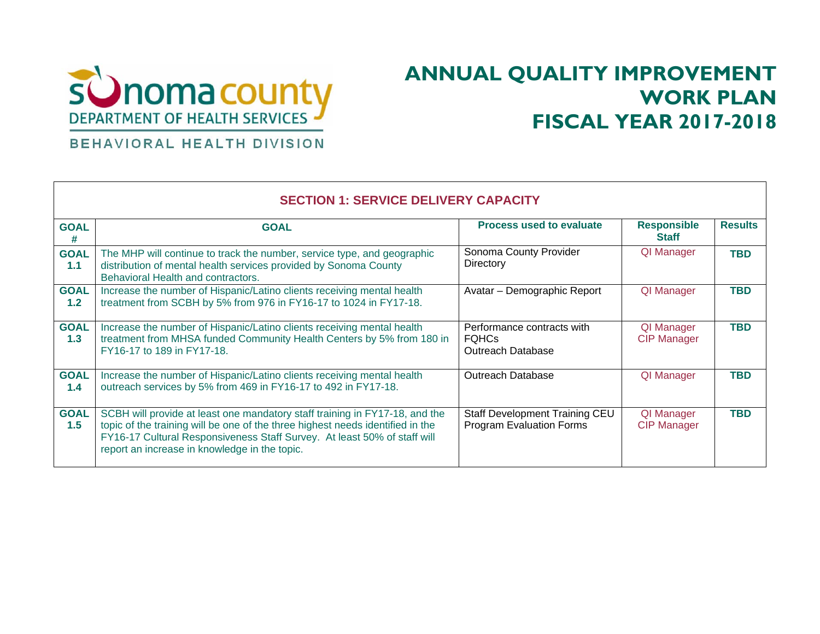

## **ANNUAL QUALITY IMPROVEMENT WORK PLAN FISCAL YEAR 2017-2018**

## BEHAVIORAL HEALTH DIVISION

Г

| <b>SECTION 1: SERVICE DELIVERY CAPACITY</b> |                                                                                                                                                                                                                                                                                            |                                                                        |                                    |                |
|---------------------------------------------|--------------------------------------------------------------------------------------------------------------------------------------------------------------------------------------------------------------------------------------------------------------------------------------------|------------------------------------------------------------------------|------------------------------------|----------------|
| <b>GOAL</b><br>#                            | <b>GOAL</b>                                                                                                                                                                                                                                                                                | <b>Process used to evaluate</b>                                        | <b>Responsible</b><br><b>Staff</b> | <b>Results</b> |
| <b>GOAL</b><br>1.1                          | The MHP will continue to track the number, service type, and geographic<br>distribution of mental health services provided by Sonoma County<br>Behavioral Health and contractors.                                                                                                          | Sonoma County Provider<br>Directory                                    | QI Manager                         | <b>TBD</b>     |
| <b>GOAL</b><br>1.2 <sub>2</sub>             | Increase the number of Hispanic/Latino clients receiving mental health<br>treatment from SCBH by 5% from 976 in FY16-17 to 1024 in FY17-18.                                                                                                                                                | Avatar - Demographic Report                                            | QI Manager                         | <b>TBD</b>     |
| <b>GOAL</b><br>1.3                          | Increase the number of Hispanic/Latino clients receiving mental health<br>treatment from MHSA funded Community Health Centers by 5% from 180 in<br>FY16-17 to 189 in FY17-18.                                                                                                              | Performance contracts with<br><b>FOHCs</b><br><b>Outreach Database</b> | QI Manager<br><b>CIP Manager</b>   | <b>TBD</b>     |
| <b>GOAL</b><br>1.4                          | Increase the number of Hispanic/Latino clients receiving mental health<br>outreach services by 5% from 469 in FY16-17 to 492 in FY17-18.                                                                                                                                                   | Outreach Database                                                      | QI Manager                         | <b>TBD</b>     |
| <b>GOAL</b><br>1.5                          | SCBH will provide at least one mandatory staff training in FY17-18, and the<br>topic of the training will be one of the three highest needs identified in the<br>FY16-17 Cultural Responsiveness Staff Survey. At least 50% of staff will<br>report an increase in knowledge in the topic. | Staff Development Training CEU<br><b>Program Evaluation Forms</b>      | QI Manager<br><b>CIP Manager</b>   | <b>TBD</b>     |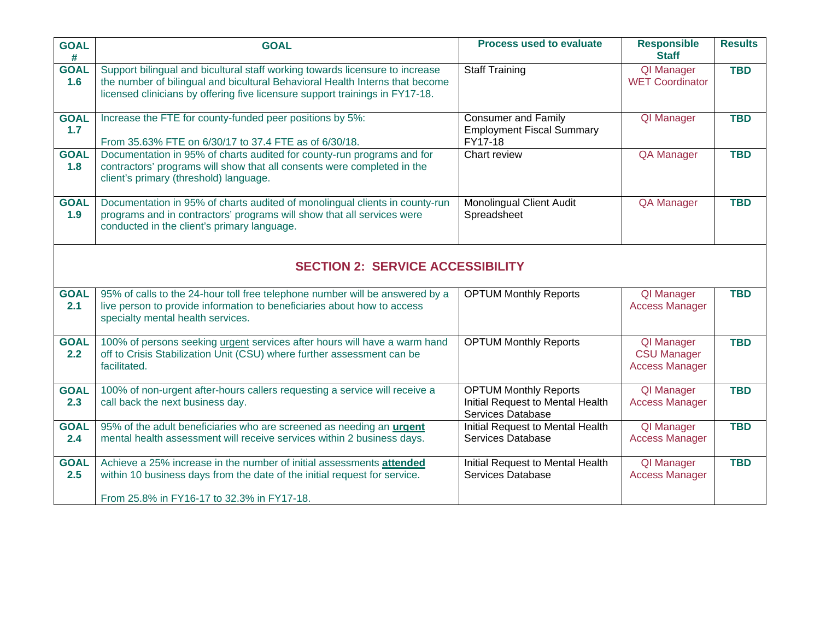| <b>GOAL</b><br>#   | <b>GOAL</b>                                                                                                                                                                                                                                  | <b>Process used to evaluate</b>                                                       | <b>Responsible</b><br><b>Staff</b>                        | <b>Results</b> |  |
|--------------------|----------------------------------------------------------------------------------------------------------------------------------------------------------------------------------------------------------------------------------------------|---------------------------------------------------------------------------------------|-----------------------------------------------------------|----------------|--|
| <b>GOAL</b><br>1.6 | Support bilingual and bicultural staff working towards licensure to increase<br>the number of bilingual and bicultural Behavioral Health Interns that become<br>licensed clinicians by offering five licensure support trainings in FY17-18. | <b>Staff Training</b>                                                                 | <b>QI</b> Manager<br><b>WET Coordinator</b>               | <b>TBD</b>     |  |
| <b>GOAL</b><br>1.7 | Increase the FTE for county-funded peer positions by 5%:<br>From 35.63% FTE on 6/30/17 to 37.4 FTE as of 6/30/18.                                                                                                                            | <b>Consumer and Family</b><br><b>Employment Fiscal Summary</b><br>FY17-18             | QI Manager                                                | <b>TBD</b>     |  |
| <b>GOAL</b><br>1.8 | Documentation in 95% of charts audited for county-run programs and for<br>contractors' programs will show that all consents were completed in the<br>client's primary (threshold) language.                                                  | Chart review                                                                          | <b>QA Manager</b>                                         | <b>TBD</b>     |  |
| <b>GOAL</b><br>1.9 | Documentation in 95% of charts audited of monolingual clients in county-run<br>programs and in contractors' programs will show that all services were<br>conducted in the client's primary language.                                         | <b>Monolingual Client Audit</b><br>Spreadsheet                                        | QA Manager                                                | <b>TBD</b>     |  |
|                    | <b>SECTION 2: SERVICE ACCESSIBILITY</b>                                                                                                                                                                                                      |                                                                                       |                                                           |                |  |
| <b>GOAL</b><br>2.1 | 95% of calls to the 24-hour toll free telephone number will be answered by a<br>live person to provide information to beneficiaries about how to access<br>specialty mental health services.                                                 | <b>OPTUM Monthly Reports</b>                                                          | QI Manager<br><b>Access Manager</b>                       | <b>TBD</b>     |  |
| <b>GOAL</b><br>2.2 | 100% of persons seeking urgent services after hours will have a warm hand<br>off to Crisis Stabilization Unit (CSU) where further assessment can be<br>facilitated.                                                                          | <b>OPTUM Monthly Reports</b>                                                          | QI Manager<br><b>CSU Manager</b><br><b>Access Manager</b> | <b>TBD</b>     |  |
| <b>GOAL</b><br>2.3 | 100% of non-urgent after-hours callers requesting a service will receive a<br>call back the next business day.                                                                                                                               | <b>OPTUM Monthly Reports</b><br>Initial Request to Mental Health<br>Services Database | QI Manager<br><b>Access Manager</b>                       | <b>TBD</b>     |  |
| <b>GOAL</b><br>2.4 | 95% of the adult beneficiaries who are screened as needing an urgent<br>mental health assessment will receive services within 2 business days.                                                                                               | Initial Request to Mental Health<br>Services Database                                 | QI Manager<br><b>Access Manager</b>                       | <b>TBD</b>     |  |
| <b>GOAL</b><br>2.5 | Achieve a 25% increase in the number of initial assessments attended<br>within 10 business days from the date of the initial request for service.<br>From 25.8% in FY16-17 to 32.3% in FY17-18.                                              | Initial Request to Mental Health<br>Services Database                                 | QI Manager<br><b>Access Manager</b>                       | <b>TBD</b>     |  |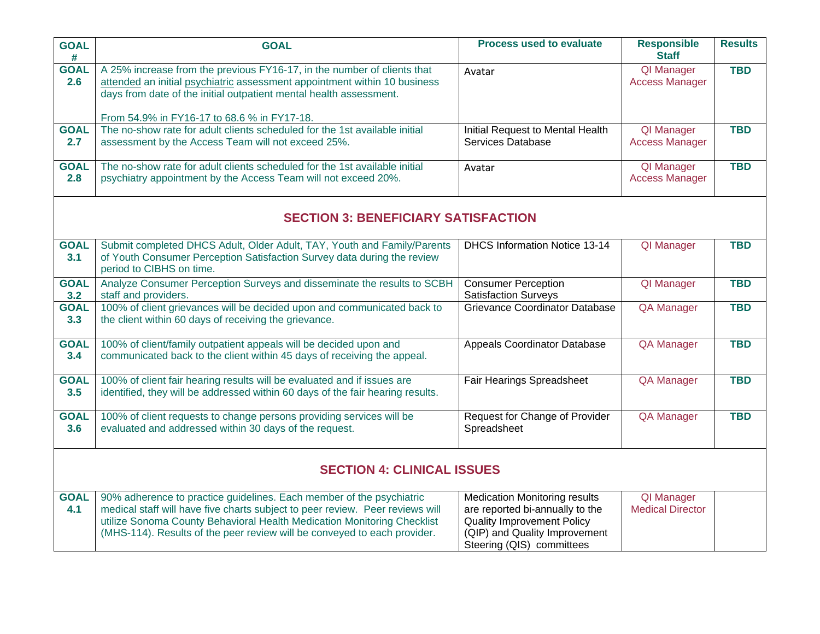| <b>GOAL</b><br>#                           | <b>GOAL</b>                                                                                                                                                                                                                                                                                                  | <b>Process used to evaluate</b>                                                                                                                                            | <b>Responsible</b><br><b>Staff</b>         | <b>Results</b> |
|--------------------------------------------|--------------------------------------------------------------------------------------------------------------------------------------------------------------------------------------------------------------------------------------------------------------------------------------------------------------|----------------------------------------------------------------------------------------------------------------------------------------------------------------------------|--------------------------------------------|----------------|
| <b>GOAL</b><br>2.6                         | A 25% increase from the previous FY16-17, in the number of clients that<br>attended an initial psychiatric assessment appointment within 10 business<br>days from date of the initial outpatient mental health assessment.                                                                                   | Avatar                                                                                                                                                                     | <b>QI</b> Manager<br><b>Access Manager</b> | <b>TBD</b>     |
|                                            | From 54.9% in FY16-17 to 68.6 % in FY17-18.                                                                                                                                                                                                                                                                  |                                                                                                                                                                            |                                            |                |
| <b>GOAL</b><br>2.7                         | The no-show rate for adult clients scheduled for the 1st available initial<br>assessment by the Access Team will not exceed 25%.                                                                                                                                                                             | Initial Request to Mental Health<br>Services Database                                                                                                                      | QI Manager<br><b>Access Manager</b>        | <b>TBD</b>     |
| <b>GOAL</b><br>2.8                         | The no-show rate for adult clients scheduled for the 1st available initial<br>psychiatry appointment by the Access Team will not exceed 20%.                                                                                                                                                                 | Avatar                                                                                                                                                                     | <b>QI Manager</b><br><b>Access Manager</b> | <b>TBD</b>     |
| <b>SECTION 3: BENEFICIARY SATISFACTION</b> |                                                                                                                                                                                                                                                                                                              |                                                                                                                                                                            |                                            |                |
| <b>GOAL</b><br>3.1                         | Submit completed DHCS Adult, Older Adult, TAY, Youth and Family/Parents<br>of Youth Consumer Perception Satisfaction Survey data during the review<br>period to CIBHS on time.                                                                                                                               | DHCS Information Notice 13-14                                                                                                                                              | <b>QI</b> Manager                          | <b>TBD</b>     |
| <b>GOAL</b><br>3.2                         | Analyze Consumer Perception Surveys and disseminate the results to SCBH<br>staff and providers.                                                                                                                                                                                                              | <b>Consumer Perception</b><br><b>Satisfaction Surveys</b>                                                                                                                  | QI Manager                                 | <b>TBD</b>     |
| <b>GOAL</b><br>3.3                         | 100% of client grievances will be decided upon and communicated back to<br>the client within 60 days of receiving the grievance.                                                                                                                                                                             | Grievance Coordinator Database                                                                                                                                             | <b>QA Manager</b>                          | <b>TBD</b>     |
| <b>GOAL</b><br>3.4                         | 100% of client/family outpatient appeals will be decided upon and<br>communicated back to the client within 45 days of receiving the appeal.                                                                                                                                                                 | Appeals Coordinator Database                                                                                                                                               | QA Manager                                 | <b>TBD</b>     |
| <b>GOAL</b><br>3.5                         | 100% of client fair hearing results will be evaluated and if issues are<br>identified, they will be addressed within 60 days of the fair hearing results.                                                                                                                                                    | <b>Fair Hearings Spreadsheet</b>                                                                                                                                           | <b>QA Manager</b>                          | <b>TBD</b>     |
| <b>GOAL</b><br>3.6                         | 100% of client requests to change persons providing services will be<br>evaluated and addressed within 30 days of the request.                                                                                                                                                                               | Request for Change of Provider<br>Spreadsheet                                                                                                                              | <b>QA Manager</b>                          | <b>TBD</b>     |
| <b>SECTION 4: CLINICAL ISSUES</b>          |                                                                                                                                                                                                                                                                                                              |                                                                                                                                                                            |                                            |                |
| <b>GOAL</b><br>4.1                         | 90% adherence to practice guidelines. Each member of the psychiatric<br>medical staff will have five charts subject to peer review. Peer reviews will<br>utilize Sonoma County Behavioral Health Medication Monitoring Checklist<br>(MHS-114). Results of the peer review will be conveyed to each provider. | <b>Medication Monitoring results</b><br>are reported bi-annually to the<br><b>Quality Improvement Policy</b><br>(QIP) and Quality Improvement<br>Steering (QIS) committees | QI Manager<br><b>Medical Director</b>      |                |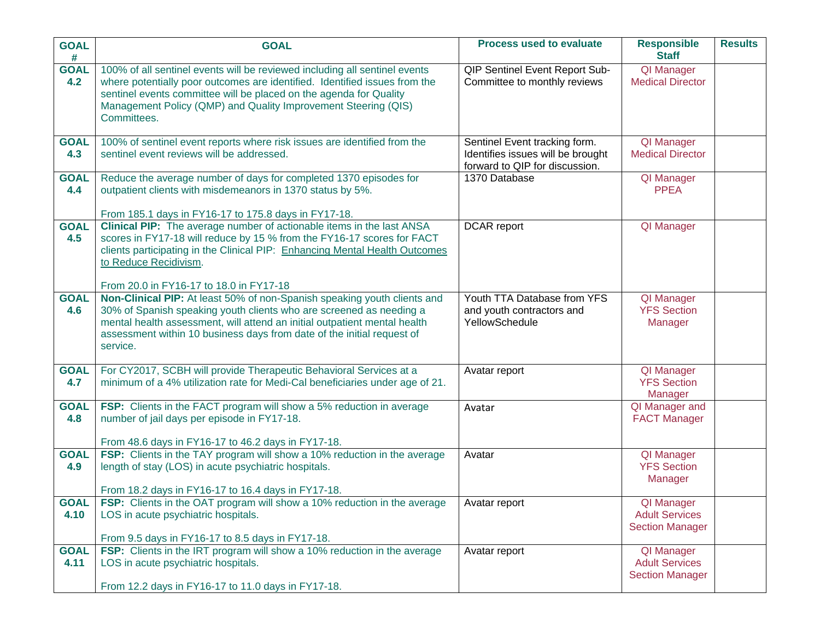| <b>GOAL</b><br>#    | <b>GOAL</b>                                                                                                                                                                                                                                                                                                        | <b>Process used to evaluate</b>                                                                      | <b>Responsible</b><br><b>Staff</b>                            | <b>Results</b> |
|---------------------|--------------------------------------------------------------------------------------------------------------------------------------------------------------------------------------------------------------------------------------------------------------------------------------------------------------------|------------------------------------------------------------------------------------------------------|---------------------------------------------------------------|----------------|
| <b>GOAL</b><br>4.2  | 100% of all sentinel events will be reviewed including all sentinel events<br>where potentially poor outcomes are identified. Identified issues from the<br>sentinel events committee will be placed on the agenda for Quality<br>Management Policy (QMP) and Quality Improvement Steering (QIS)<br>Committees.    | QIP Sentinel Event Report Sub-<br>Committee to monthly reviews                                       | <b>QI</b> Manager<br><b>Medical Director</b>                  |                |
| <b>GOAL</b><br>4.3  | 100% of sentinel event reports where risk issues are identified from the<br>sentinel event reviews will be addressed.                                                                                                                                                                                              | Sentinel Event tracking form.<br>Identifies issues will be brought<br>forward to QIP for discussion. | QI Manager<br><b>Medical Director</b>                         |                |
| <b>GOAL</b><br>4.4  | Reduce the average number of days for completed 1370 episodes for<br>outpatient clients with misdemeanors in 1370 status by 5%.<br>From 185.1 days in FY16-17 to 175.8 days in FY17-18.                                                                                                                            | 1370 Database                                                                                        | QI Manager<br><b>PPEA</b>                                     |                |
| <b>GOAL</b><br>4.5  | Clinical PIP: The average number of actionable items in the last ANSA<br>scores in FY17-18 will reduce by 15 % from the FY16-17 scores for FACT<br>clients participating in the Clinical PIP: Enhancing Mental Health Outcomes<br>to Reduce Recidivism.<br>From 20.0 in FY16-17 to 18.0 in FY17-18                 | <b>DCAR</b> report                                                                                   | QI Manager                                                    |                |
| <b>GOAL</b><br>4.6  | Non-Clinical PIP: At least 50% of non-Spanish speaking youth clients and<br>30% of Spanish speaking youth clients who are screened as needing a<br>mental health assessment, will attend an initial outpatient mental health<br>assessment within 10 business days from date of the initial request of<br>service. | Youth TTA Database from YFS<br>and youth contractors and<br>YellowSchedule                           | QI Manager<br><b>YFS Section</b><br>Manager                   |                |
| <b>GOAL</b><br>4.7  | For CY2017, SCBH will provide Therapeutic Behavioral Services at a<br>minimum of a 4% utilization rate for Medi-Cal beneficiaries under age of 21.                                                                                                                                                                 | Avatar report                                                                                        | QI Manager<br><b>YFS Section</b><br>Manager                   |                |
| <b>GOAL</b><br>4.8  | FSP: Clients in the FACT program will show a 5% reduction in average<br>number of jail days per episode in FY17-18.<br>From 48.6 days in FY16-17 to 46.2 days in FY17-18.                                                                                                                                          | Avatar                                                                                               | QI Manager and<br><b>FACT Manager</b>                         |                |
| <b>GOAL</b><br>4.9  | FSP: Clients in the TAY program will show a 10% reduction in the average<br>length of stay (LOS) in acute psychiatric hospitals.<br>From 18.2 days in FY16-17 to 16.4 days in FY17-18.                                                                                                                             | Avatar                                                                                               | QI Manager<br><b>YFS Section</b><br>Manager                   |                |
| <b>GOAL</b><br>4.10 | <b>FSP:</b> Clients in the OAT program will show a 10% reduction in the average<br>LOS in acute psychiatric hospitals.<br>From 9.5 days in FY16-17 to 8.5 days in FY17-18.                                                                                                                                         | Avatar report                                                                                        | QI Manager<br><b>Adult Services</b><br><b>Section Manager</b> |                |
| <b>GOAL</b><br>4.11 | FSP: Clients in the IRT program will show a 10% reduction in the average<br>LOS in acute psychiatric hospitals.<br>From 12.2 days in FY16-17 to 11.0 days in FY17-18.                                                                                                                                              | Avatar report                                                                                        | QI Manager<br><b>Adult Services</b><br><b>Section Manager</b> |                |